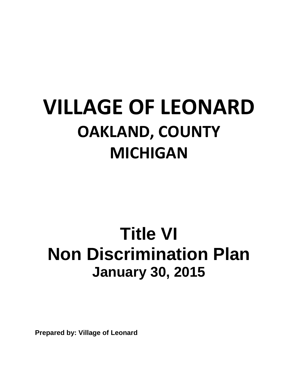# **VILLAGE OF LEONARD OAKLAND, COUNTY MICHIGAN**

# **Title VI Non Discrimination Plan January 30, 2015**

**Prepared by: Village of Leonard**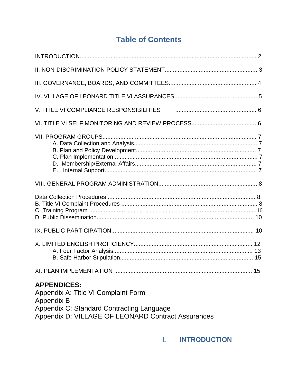# **Table of Contents**

| <b>APPENDICES:</b><br>Appendix A: Title VI Complaint Form |  |
|-----------------------------------------------------------|--|

Appendix B

Appendix C: Standard Contracting Language<br>Appendix D: VILLAGE OF LEONARD Contract Assurances

# **I. INTRODUCTION**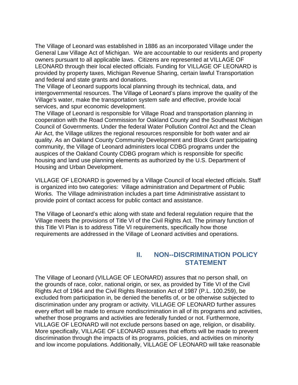The Village of Leonard was established in 1886 as an incorporated Village under the General Law Village Act of Michigan. We are accountable to our residents and property owners pursuant to all applicable laws. Citizens are represented at VILLAGE OF LEONARD through their local elected officials. Funding for VILLAGE OF LEONARD is provided by property taxes, Michigan Revenue Sharing, certain lawful Transportation and federal and state grants and donations.

The Village of Leonard supports local planning through its technical, data, and intergovernmental resources. The Village of Leonard's plans improve the quality of the Village's water, make the transportation system safe and effective, provide local services, and spur economic development.

The Village of Leonard is responsible for Village Road and transportation planning in cooperation with the Road Commission for Oakland County and the Southeast Michigan Council of Governments. Under the federal Water Pollution Control Act and the Clean Air Act, the Village utilizes the regional resources responsible for both water and air quality. As an Oakland County Community Development and Block Grant participating community, the Village of Leonard administers local CDBG programs under the auspices of the Oakland County CDBG program which is responsible for specific housing and land use planning elements as authorized by the U.S. Department of Housing and Urban Development.

VILLAGE OF LEONARD is governed by a Village Council of local elected officials. Staff is organized into two categories: Village administration and Department of Public Works. The Village administration includes a part time Administrative assistant to provide point of contact access for public contact and assistance.

The Village of Leonard's ethic along with state and federal regulation require that the Village meets the provisions of Title VI of the Civil Rights Act. The primary function of this Title VI Plan is to address Title VI requirements, specifically how those requirements are addressed in the Village of Leonard activities and operations.

### **II. NON--DISCRIMINATION POLICY STATEMENT**

The Village of Leonard (VILLAGE OF LEONARD) assures that no person shall, on the grounds of race, color, national origin, or sex, as provided by Title VI of the Civil Rights Act of 1964 and the Civil Rights Restoration Act of 1987 (P.L. 100.259), be excluded from participation in, be denied the benefits of, or be otherwise subjected to discrimination under any program or activity. VILLAGE OF LEONARD further assures every effort will be made to ensure nondiscrimination in all of its programs and activities, whether those programs and activities are federally funded or not. Furthermore, VILLAGE OF LEONARD will not exclude persons based on age, religion, or disability. More specifically, VILLAGE OF LEONARD assures that efforts will be made to prevent discrimination through the impacts of its programs, policies, and activities on minority and low income populations. Additionally, VILLAGE OF LEONARD will take reasonable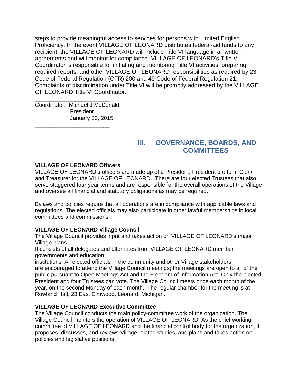steps to provide meaningful access to services for persons with Limited English Proficiency. In the event VILLAGE OF LEONARD distributes federal-aid funds to any recipient, the VILLAGE OF LEONARD will include Title VI language in all written agreements and will monitor for compliance. VILLAGE OF LEONARD's Title VI Coordinator is responsible for initiating and monitoring Title VI activities, preparing required reports, and other VILLAGE OF LEONARD responsibilities as required by 23 Code of Federal Regulation (CFR) 200 and 49 Code of Federal Regulation 21. Complaints of discrimination under Title VI will be promptly addressed by the VILLAGE OF LEONARD Title VI Coordinator.

\_\_\_\_\_\_\_\_\_\_\_\_\_\_\_\_\_\_\_\_\_\_\_\_ Coordinator: Michael J McDonald President January 30, 2015

\_\_\_\_\_\_\_\_\_\_\_\_\_\_\_\_\_\_\_\_\_\_\_\_

### **III. GOVERNANCE, BOARDS, AND COMMITTEES**

#### **VILLAGE OF LEONARD Officers**

VILLAGE OF LEONARD's officers are made up of a President, President pro tem, Clerk and Treasurer for the VILLAGE OF LEONARD. There are four elected Trustees that also serve staggered four year terms and are responsible for the overall operations of the Village and oversee all financial and statutory obligations as may be required.

Bylaws and policies require that all operations are in compliance with applicable laws and regulations. The elected officials may also participate in other lawful memberships in local committees and commissions.

#### **VILLAGE OF LEONARD Village Council**

The Village Council provides input and takes action on VILLAGE OF LEONARD's major Village plans.

It consists of all delegates and alternates from VILLAGE OF LEONARD member governments and education

institutions. All elected officials in the community and other Village stakeholders are encouraged to attend the Village Council meetings; the meetings are open to all of the public pursuant to Open Meetings Act and the Freedom of Information Act. Only the elected President and four Trustees can vote. The Village Council meets once each month of the year, on the second Monday of each month. The regular chamber for the meeting is at Rowland Hall, 23 East Elmwood, Leonard, Michigan.

#### **VILLAGE OF LEONARD Executive Committee**

The Village Council conducts the main policy-committee work of the organization. The Village Council monitors the operation of VILLAGE OF LEONARD. As the chief working committee of VILLAGE OF LEONARD and the financial control body for the organization, it proposes, discusses, and reviews Village related studies, and plans and takes action on policies and legislative positions.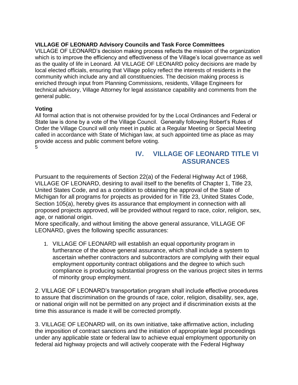#### **VILLAGE OF LEONARD Advisory Councils and Task Force Committees**

VILLAGE OF LEONARD's decision making process reflects the mission of the organization which is to improve the efficiency and effectiveness of the Village's local governance as well as the quality of life in Leonard. All VILLAGE OF LEONARD policy decisions are made by local elected officials, ensuring that Village policy reflect the interests of residents in the community which include any and all constituencies. The decision making process is enriched through input from Planning Commissions, residents, Village Engineers for technical advisory, Village Attorney for legal assistance capability and comments from the general public.

#### **Voting**

All formal action that is not otherwise provided for by the Local Ordinances and Federal or State law is done by a vote of the Village Council. Generally following Robert's Rules of Order the Village Council will only meet in public at a Regular Meeting or Special Meeting called in accordance with State of Michigan law, at such appointed time as place as may provide access and public comment before voting. 5

# **IV. VILLAGE OF LEONARD TITLE VI ASSURANCES**

Pursuant to the requirements of Section 22(a) of the Federal Highway Act of 1968, VILLAGE OF LEONARD, desiring to avail itself to the benefits of Chapter 1, Title 23, United States Code, and as a condition to obtaining the approval of the State of Michigan for all programs for projects as provided for in Title 23, United States Code, Section 105(a), hereby gives its assurance that employment in connection with all proposed projects approved, will be provided without regard to race, color, religion, sex, age, or national origin.

More specifically, and without limiting the above general assurance, VILLAGE OF LEONARD, gives the following specific assurances:

1. VILLAGE OF LEONARD will establish an equal opportunity program in furtherance of the above general assurance, which shall include a system to ascertain whether contractors and subcontractors are complying with their equal employment opportunity contract obligations and the degree to which such compliance is producing substantial progress on the various project sites in terms of minority group employment.

2. VILLAGE OF LEONARD's transportation program shall include effective procedures to assure that discrimination on the grounds of race, color, religion, disability, sex, age, or national origin will not be permitted on any project and if discrimination exists at the time this assurance is made it will be corrected promptly.

3. VILLAGE OF LEONARD will, on its own initiative, take affirmative action, including the imposition of contract sanctions and the initiation of appropriate legal proceedings under any applicable state or federal law to achieve equal employment opportunity on federal aid highway projects and will actively cooperate with the Federal Highway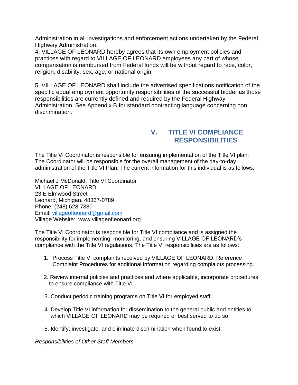Administration in all investigations and enforcement actions undertaken by the Federal Highway Administration.

4. VILLAGE OF LEONARD hereby agrees that its own employment policies and practices with regard to VILLAGE OF LEONARD employees any part of whose compensation is reimbursed from Federal funds will be without regard to race, color, religion, disability, sex, age, or national origin.

5. VILLAGE OF LEONARD shall include the advertised specifications notification of the specific equal employment opportunity responsibilities of the successful bidder as those responsibilities are currently defined and required by the Federal Highway Administration. See Appendix B for standard contracting language concerning non discrimination.

# **V. TITLE VI COMPLIANCE RESPONSIBILITIES**

The Title VI Coordinator is responsible for ensuring implementation of the Title VI plan. The Coordinator will be responsible for the overall management of the day-to-day administration of the Title VI Plan. The current information for this individual is as follows:

Michael J McDonald, Title VI Coordinator VILLAGE OF LEONARD 23 E Elmwood Street Leonard, Michigan, 48367-0789 Phone: (248) 628-7380 Email: [villageofleonard@gmail.com](mailto:villageofleonard@gmail.com) Village Website: www.villageofleonard.org

The Title VI Coordinator is responsible for Title VI compliance and is assigned the responsibility for implementing, monitoring, and ensuring VILLAGE OF LEONARD's compliance with the Title VI regulations. The Title VI responsibilities are as follows:

- 1. Process Title VI complaints received by VILLAGE OF LEONARD. Reference Complaint Procedures for additional information regarding complaints processing.
- 2. Review internal policies and practices and where applicable, incorporate procedures to ensure compliance with Title VI.
- 3. Conduct periodic training programs on Title VI for employed staff.
- 4. Develop Title VI information for dissemination to the general public and entities to which VILLAGE OF LEONARD may be required or best served to do so.
- 5. Identify, investigate, and eliminate discrimination when found to exist.

*Responsibilities of Other Staff Members*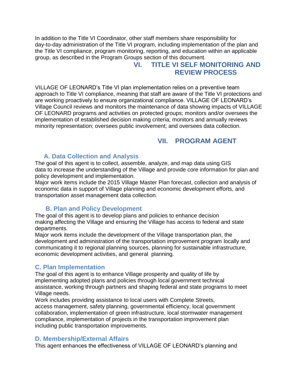In addition to the Title VI Coordinator, other staff members share responsibility for day-to-day administration of the Title VI program, including implementation of the plan and the Title VI compliance, program monitoring, reporting, and education within an applicable group, as described in the Program Groups section of this document.

# **VI. TITLE VI SELF MONITORING AND REVIEW PROCESS**

VILLAGE OF LEONARD's Title VI plan implementation relies on a preventive team approach to Title VI compliance, meaning that staff are aware of the Title VI protections and are working proactively to ensure organizational compliance. VILLAGE OF LEONARD's Village Council reviews and monitors the maintenance of data showing impacts of VILLAGE OF LEONARD programs and activities on protected groups; monitors and/or oversees the implementation of established decision making criteria; monitors and annually reviews minority representation; oversees public involvement; and oversees data collection.

# **VII. PROGRAM AGENT**

#### **A. Data Collection and Analysis**

The goal of this agent is to collect, assemble, analyze, and map data using GIS data to increase the understanding of the Village and provide core information for plan and policy development and implementation.

Major work items include the 2015 Village Master Plan forecast, collection and analysis of economic data in support of Village planning and economic development efforts, and transportation asset management data collection.

#### **B. Plan and Policy Development**

The goal of this agent is to develop plans and policies to enhance decision making affecting the Village and ensuring the Village has access to federal and state departments.

Major work items include the development of the Village transportation plan, the development and administration of the transportation improvement program locally and communicating it to regional planning sources, planning for sustainable infrastructure, economic development activities, and general planning.

#### **C. Plan Implementation**

The goal of this agent is to enhance Village prosperity and quality of life by implementing adopted plans and policies through local government technical assistance, working through partners and shaping federal and state programs to meet Village needs.

Work includes providing assistance to local users with Complete Streets, access management, safety planning, governmental efficiency, local government collaboration, implementation of green infrastructure, local stormwater management compliance, implementation of projects in the transportation improvement plan including public transportation improvements.

#### **D. Membership/External Affairs**

This agent enhances the effectiveness of VILLAGE OF LEONARD's planning and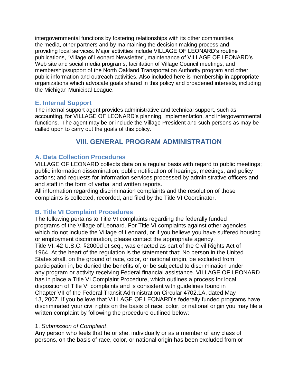intergovernmental functions by fostering relationships with its other communities, the media, other partners and by maintaining the decision making process and providing local services. Major activities include VILLAGE OF LEONARD's routine publications, "Village of Leonard Newsletter", maintenance of VILLAGE OF LEONARD's Web site and social media programs, facilitation of Village Council meetings, and membership/support of the North Oakland Transportation Authority program and other public information and outreach activities. Also included here is membership in appropriate organizations which advocate goals shared in this policy and broadened interests, including the Michigan Municipal League.

#### **E. Internal Support**

The internal support agent provides administrative and technical support, such as accounting, for VILLAGE OF LEONARD's planning, implementation, and intergovernmental functions. The agent may be or include the Village President and such persons as may be called upon to carry out the goals of this policy.

#### **VIII. GENERAL PROGRAM ADMINISTRATION**

#### **A. Data Collection Procedures**

VILLAGE OF LEONARD collects data on a regular basis with regard to public meetings; public information dissemination; public notification of hearings, meetings, and policy actions; and requests for information services processed by administrative officers and and staff in the form of verbal and written reports.

All information regarding discrimination complaints and the resolution of those complaints is collected, recorded, and filed by the Title VI Coordinator.

#### **B. Title VI Complaint Procedures**

The following pertains to Title VI complaints regarding the federally funded programs of the Village of Leonard. For Title VI complaints against other agencies which do not include the Village of Leonard, or if you believe you have suffered housing or employment discrimination, please contact the appropriate agency. Title VI, 42 U.S.C. §2000d et seq., was enacted as part of the Civil Rights Act of 1964. At the heart of the regulation is the statement that: No person in the United States shall, on the ground of race, color, or national origin, be excluded from participation in, be denied the benefits of, or be subjected to discrimination under any program or activity receiving Federal financial assistance. VILLAGE OF LEONARD has in place a Title VI Complaint Procedure, which outlines a process for local disposition of Title VI complaints and is consistent with guidelines found in Chapter VII of the Federal Transit Administration Circular 4702.1A, dated May 13, 2007. If you believe that VILLAGE OF LEONARD's federally funded programs have discriminated your civil rights on the basis of race, color, or national origin you may file a written complaint by following the procedure outlined below:

#### 1. *Submission of Complaint*.

Any person who feels that he or she, individually or as a member of any class of persons, on the basis of race, color, or national origin has been excluded from or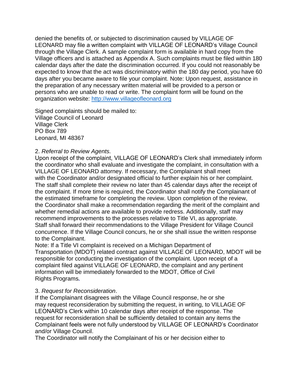denied the benefits of, or subjected to discrimination caused by VILLAGE OF LEONARD may file a written complaint with VILLAGE OF LEONARD's Village Council through the Village Clerk. A sample complaint form is available in hard copy from the Village officers and is attached as Appendix A. Such complaints must be filed within 180 calendar days after the date the discrimination occurred. If you could not reasonably be expected to know that the act was discriminatory within the 180 day period, you have 60 days after you became aware to file your complaint. Note: Upon request, assistance in the preparation of any necessary written material will be provided to a person or persons who are unable to read or write. The complaint form will be found on the organization website: [http://www.villageofleonard.org](http://www.villageofleonard.org/)

Signed complaints should be mailed to: Village Council of Leonard Village Clerk PO Box 789 Leonard, MI 48367

#### 2. *Referral to Review Agents.*

Upon receipt of the complaint, VILLAGE OF LEONARD's Clerk shall immediately inform the coordinator who shall evaluate and investigate the complaint, in consultation with a VILLAGE OF LEONARD attorney. If necessary, the Complainant shall meet with the Coordinator and/or designated official to further explain his or her complaint. The staff shall complete their review no later than 45 calendar days after the receipt of the complaint. If more time is required, the Coordinator shall notify the Complainant of the estimated timeframe for completing the review. Upon completion of the review, the Coordinator shall make a recommendation regarding the merit of the complaint and whether remedial actions are available to provide redress. Additionally, staff may recommend improvements to the processes relative to Title VI, as appropriate. Staff shall forward their recommendations to the Village President for Village Council concurrence. If the Village Council concurs, he or she shall issue the written response to the Complainant.

Note: If a Title VI complaint is received on a Michigan Department of Transportation (MDOT) related contract against VILLAGE OF LEONARD, MDOT will be responsible for conducting the investigation of the complaint. Upon receipt of a complaint filed against VILLAGE OF LEONARD, the complaint and any pertinent information will be immediately forwarded to the MDOT, Office of Civil Rights Programs**.**

#### 3. *Request for Reconsideration*.

If the Complainant disagrees with the Village Council response, he or she may request reconsideration by submitting the request, in writing, to VILLAGE OF LEONARD's Clerk within 10 calendar days after receipt of the response. The request for reconsideration shall be sufficiently detailed to contain any items the Complainant feels were not fully understood by VILLAGE OF LEONARD's Coordinator and/or Village Council.

The Coordinator will notify the Complainant of his or her decision either to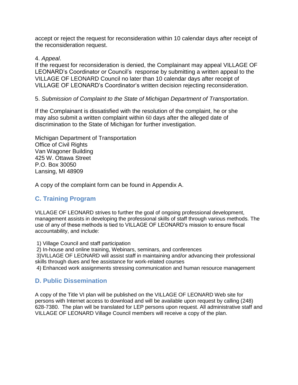accept or reject the request for reconsideration within 10 calendar days after receipt of the reconsideration request.

#### 4. *Appeal*.

If the request for reconsideration is denied, the Complainant may appeal VILLAGE OF LEONARD's Coordinator or Council's response by submitting a written appeal to the VILLAGE OF LEONARD Council no later than 10 calendar days after receipt of VILLAGE OF LEONARD's Coordinator's written decision rejecting reconsideration.

#### 5. *Submission of Complaint to the State of Michigan Department of Transportation*.

If the Complainant is dissatisfied with the resolution of the complaint, he or she may also submit a written complaint within 60 days after the alleged date of discrimination to the State of Michigan for further investigation.

Michigan Department of Transportation Office of Civil Rights Van Wagoner Building 425 W. Ottawa Street P.O. Box 30050 Lansing, MI 48909

A copy of the complaint form can be found in Appendix A.

#### **C. Training Program**

VILLAGE OF LEONARD strives to further the goal of ongoing professional development, management assists in developing the professional skills of staff through various methods. The use of any of these methods is tied to VILLAGE OF LEONARD's mission to ensure fiscal accountability, and include:

1) Village Council and staff participation

2) In-house and online training, Webinars, seminars, and conferences

3)VILLAGE OF LEONARD will assist staff in maintaining and/or advancing their professional skills through dues and fee assistance for work-related courses

4) Enhanced work assignments stressing communication and human resource management

#### **D. Public Dissemination**

A copy of the Title VI plan will be published on the VILLAGE OF LEONARD Web site for persons with Internet access to download and will be available upon request by calling (248) 628-7380. The plan will be translated for LEP persons upon request. All administrative staff and VILLAGE OF LEONARD Village Council members will receive a copy of the plan.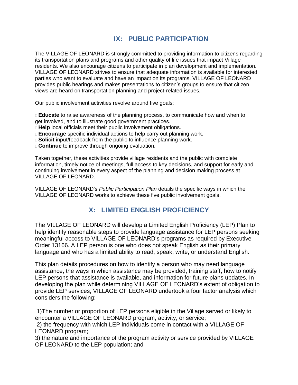# **IX: PUBLIC PARTICIPATION**

The VILLAGE OF LEONARD is strongly committed to providing information to citizens regarding its transportation plans and programs and other quality of life issues that impact Village residents. We also encourage citizens to participate in plan development and implementation. VILLAGE OF LEONARD strives to ensure that adequate information is available for interested parties who want to evaluate and have an impact on its programs. VILLAGE OF LEONARD provides public hearings and makes presentations to citizen's groups to ensure that citizen views are heard on transportation planning and project-related issues.

Our public involvement activities revolve around five goals:

**Educate** to raise awareness of the planning process, to communicate how and when to get involved, and to illustrate good government practices.

- **Help** local officials meet their public involvement obligations.
- **Encourage** specific individual actions to help carry out planning work.
- **Solicit** input/feedback from the public to influence planning work.
- **Continue** to improve through ongoing evaluation.

Taken together, these activities provide village residents and the public with complete information, timely notice of meetings, full access to key decisions, and support for early and continuing involvement in every aspect of the planning and decision making process at VILLAGE OF LEONARD.

VILLAGE OF LEONARD's *Public Participation Plan* details the specific ways in which the VILLAGE OF LEONARD works to achieve these five public involvement goals.

# **X: LIMITED ENGLISH PROFICIENCY**

The VILLAGE OF LEONARD will develop a Limited English Proficiency (LEP) Plan to help identify reasonable steps to provide language assistance for LEP persons seeking meaningful access to VILLAGE OF LEONARD's programs as required by Executive Order 13166. A LEP person is one who does not speak English as their primary language and who has a limited ability to read, speak, write, or understand English.

This plan details procedures on how to identify a person who may need language assistance, the ways in which assistance may be provided, training staff, how to notify LEP persons that assistance is available, and information for future plans updates. In developing the plan while determining VILLAGE OF LEONARD's extent of obligation to provide LEP services, VILLAGE OF LEONARD undertook a four factor analysis which considers the following:

1)The number or proportion of LEP persons eligible in the Village served or likely to encounter a VILLAGE OF LEONARD program, activity, or service;

2) the frequency with which LEP individuals come in contact with a VILLAGE OF LEONARD program;

3) the nature and importance of the program activity or service provided by VILLAGE OF LEONARD to the LEP population; and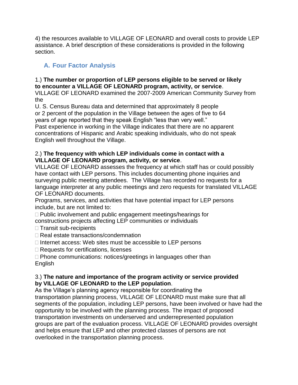4) the resources available to VILLAGE OF LEONARD and overall costs to provide LEP assistance. A brief description of these considerations is provided in the following section.

# **A. Four Factor Analysis**

# 1.) **The number or proportion of LEP persons eligible to be served or likely to encounter a VILLAGE OF LEONARD program, activity, or service**.

VILLAGE OF LEONARD examined the 2007-2009 American Community Survey from the

U. S. Census Bureau data and determined that approximately 8 people or 2 percent of the population in the Village between the ages of five to 64 years of age reported that they speak English "less than very well." Past experience in working in the Village indicates that there are no apparent concentrations of Hispanic and Arabic speaking individuals, who do not speak English well throughout the Village.

#### 2.) **The frequency with which LEP individuals come in contact with a VILLAGE OF LEONARD program, activity, or service**.

VILLAGE OF LEONARD assesses the frequency at which staff has or could possibly have contact with LEP persons. This includes documenting phone inquiries and surveying public meeting attendees. The Village has recorded no requests for a language interpreter at any public meetings and zero requests for translated VILLAGE OF LEONARD documents.

Programs, services, and activities that have potential impact for LEP persons include, but are not limited to:

 $\Box$  Public involvement and public engagement meetings/hearings for constructions projects affecting LEP communities or individuals

- $\Box$  Transit sub-recipients
- □ Real estate transactions/condemnation
- $\Box$  Internet access: Web sites must be accessible to LEP persons
- □ Requests for certifications, licenses
- $\Box$  Phone communications: notices/greetings in languages other than English

#### 3.) **The nature and importance of the program activity or service provided by VILLAGE OF LEONARD to the LEP population**.

As the Village's planning agency responsible for coordinating the transportation planning process, VILLAGE OF LEONARD must make sure that all segments of the population, including LEP persons, have been involved or have had the opportunity to be involved with the planning process. The impact of proposed transportation investments on underserved and underrepresented population groups are part of the evaluation process. VILLAGE OF LEONARD provides oversight and helps ensure that LEP and other protected classes of persons are not overlooked in the transportation planning process.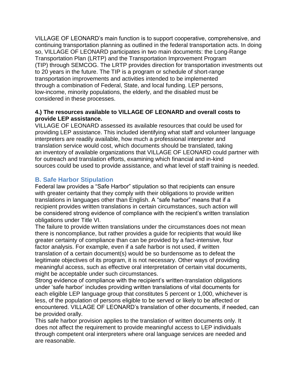VILLAGE OF LEONARD's main function is to support cooperative, comprehensive, and continuing transportation planning as outlined in the federal transportation acts. In doing so, VILLAGE OF LEONARD participates in two main documents: the Long-Range Transportation Plan (LRTP) and the Transportation Improvement Program (TIP) through SEMCOG. The LRTP provides direction for transportation investments out to 20 years in the future. The TIP is a program or schedule of short-range transportation improvements and activities intended to be implemented through a combination of Federal, State, and local funding. LEP persons, low-income, minority populations, the elderly, and the disabled must be considered in these processes.

#### **4.) The resources available to VILLAGE OF LEONARD and overall costs to provide LEP assistance.**

VILLAGE OF LEONARD assessed its available resources that could be used for providing LEP assistance. This included identifying what staff and volunteer language interpreters are readily available, how much a professional interpreter and translation service would cost, which documents should be translated, taking an inventory of available organizations that VILLAGE OF LEONARD could partner with for outreach and translation efforts, examining which financial and in-kind sources could be used to provide assistance, and what level of staff training is needed.

# **B. Safe Harbor Stipulation**

Federal law provides a "Safe Harbor" stipulation so that recipients can ensure with greater certainty that they comply with their obligations to provide written translations in languages other than English. A "safe harbor" means that if a recipient provides written translations in certain circumstances, such action will be considered strong evidence of compliance with the recipient's written translation obligations under Title VI.

The failure to provide written translations under the circumstances does not mean there is noncompliance, but rather provides a guide for recipients that would like greater certainty of compliance than can be provided by a fact-intensive, four factor analysis. For example, even if a safe harbor is not used, if written translation of a certain document(s) would be so burdensome as to defeat the legitimate objectives of its program, it is not necessary. Other ways of providing meaningful access, such as effective oral interpretation of certain vital documents, might be acceptable under such circumstances.

Strong evidence of compliance with the recipient's written-translation obligations under 'safe harbor' includes providing written translations of vital documents for each eligible LEP language group that constitutes 5 percent or 1,000, whichever is less, of the population of persons eligible to be served or likely to be affected or encountered. VILLAGE OF LEONARD's translation of other documents, if needed, can be provided orally.

This safe harbor provision applies to the translation of written documents only. It does not affect the requirement to provide meaningful access to LEP individuals through competent oral interpreters where oral language services are needed and are reasonable.